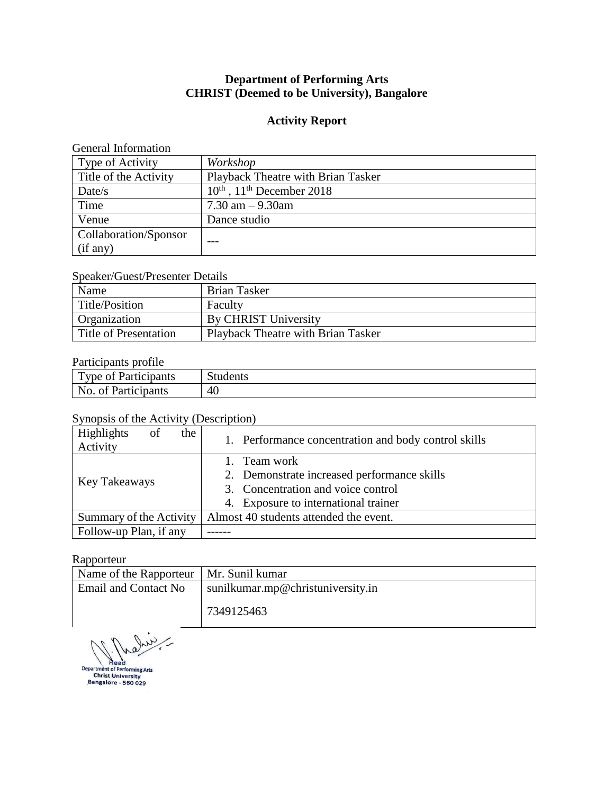# **Department of Performing Arts CHRIST (Deemed to be University), Bangalore**

### **Activity Report**

### General Information

| Type of Activity      | Workshop                                          |
|-----------------------|---------------------------------------------------|
| Title of the Activity | Playback Theatre with Brian Tasker                |
| Date/s                | $10^{\text{th}}$ , $11^{\text{th}}$ December 2018 |
| Time                  | 7.30 am $-9.30$ am                                |
| Venue                 | Dance studio                                      |
| Collaboration/Sponsor |                                                   |
| (if any)              |                                                   |

### Speaker/Guest/Presenter Details

| Name                  | Brian Tasker                       |
|-----------------------|------------------------------------|
| Title/Position        | Faculty                            |
| Organization          | By CHRIST University               |
| Title of Presentation | Playback Theatre with Brian Tasker |

### Participants profile

| Ē<br>∣`vne ot<br>- Particinants -<br>vanis | $\sim$ |  |
|--------------------------------------------|--------|--|
| No<br>Participants<br>ΩŤ                   | 40     |  |

### Synopsis of the Activity (Description)

| Highlights<br>the<br>of<br>Activity | 1. Performance concentration and body control skills |  |
|-------------------------------------|------------------------------------------------------|--|
|                                     | 1. Team work                                         |  |
|                                     | 2. Demonstrate increased performance skills          |  |
| Key Takeaways                       | 3. Concentration and voice control                   |  |
|                                     | 4. Exposure to international trainer                 |  |
| Summary of the Activity             | Almost 40 students attended the event.               |  |
| Follow-up Plan, if any              |                                                      |  |

#### Rapporteur

| Name of the Rapporteur   Mr. Sunil kumar |                                   |  |
|------------------------------------------|-----------------------------------|--|
| <b>Email and Contact No</b>              | sunilkumar.mp@christuniversity.in |  |
|                                          | 7349125463                        |  |

Juile

Department of Performing Arts<br>Christ University<br>Bangalore - 560 029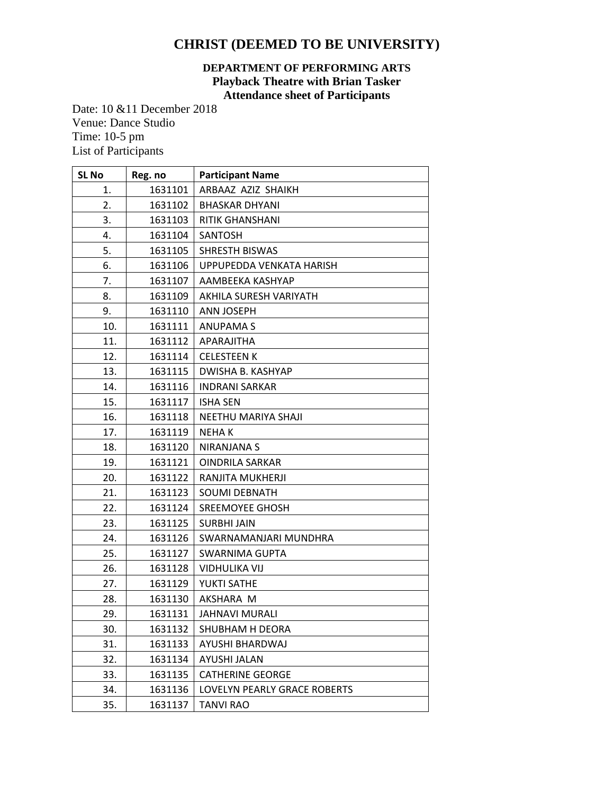# **CHRIST (DEEMED TO BE UNIVERSITY)**

### **DEPARTMENT OF PERFORMING ARTS Playback Theatre with Brian Tasker Attendance sheet of Participants**

Date: 10 &11 December 2018 Venue: Dance Studio Time: 10-5 pm List of Participants

| <b>SL No</b> | Reg. no | <b>Participant Name</b>      |
|--------------|---------|------------------------------|
| 1.           | 1631101 | ARBAAZ AZIZ SHAIKH           |
| 2.           | 1631102 | <b>BHASKAR DHYANI</b>        |
| 3.           | 1631103 | RITIK GHANSHANI              |
| 4.           | 1631104 | SANTOSH                      |
| 5.           | 1631105 | <b>SHRESTH BISWAS</b>        |
| 6.           | 1631106 | UPPUPEDDA VENKATA HARISH     |
| 7.           | 1631107 | AAMBEEKA KASHYAP             |
| 8.           | 1631109 | AKHILA SURESH VARIYATH       |
| 9.           | 1631110 | <b>ANN JOSEPH</b>            |
| 10.          | 1631111 | <b>ANUPAMAS</b>              |
| 11.          | 1631112 | APARAJITHA                   |
| 12.          | 1631114 | <b>CELESTEEN K</b>           |
| 13.          | 1631115 | DWISHA B. KASHYAP            |
| 14.          | 1631116 | <b>INDRANI SARKAR</b>        |
| 15.          | 1631117 | <b>ISHA SEN</b>              |
| 16.          | 1631118 | NEETHU MARIYA SHAJI          |
| 17.          | 1631119 | <b>NEHAK</b>                 |
| 18.          | 1631120 | NIRANJANA S                  |
| 19.          | 1631121 | OINDRILA SARKAR              |
| 20.          | 1631122 | RANJITA MUKHERJI             |
| 21.          | 1631123 | <b>SOUMI DEBNATH</b>         |
| 22.          | 1631124 | SREEMOYEE GHOSH              |
| 23.          | 1631125 | <b>SURBHI JAIN</b>           |
| 24.          | 1631126 | SWARNAMANJARI MUNDHRA        |
| 25.          | 1631127 | SWARNIMA GUPTA               |
| 26.          | 1631128 | <b>VIDHULIKA VIJ</b>         |
| 27.          | 1631129 | YUKTI SATHE                  |
| 28.          | 1631130 | AKSHARA M                    |
| 29.          | 1631131 | JAHNAVI MURALI               |
| 30.          | 1631132 | SHUBHAM H DEORA              |
| 31.          | 1631133 | AYUSHI BHARDWAJ              |
| 32.          | 1631134 | <b>AYUSHI JALAN</b>          |
| 33.          | 1631135 | <b>CATHERINE GEORGE</b>      |
| 34.          | 1631136 | LOVELYN PEARLY GRACE ROBERTS |
| 35.          | 1631137 | <b>TANVI RAO</b>             |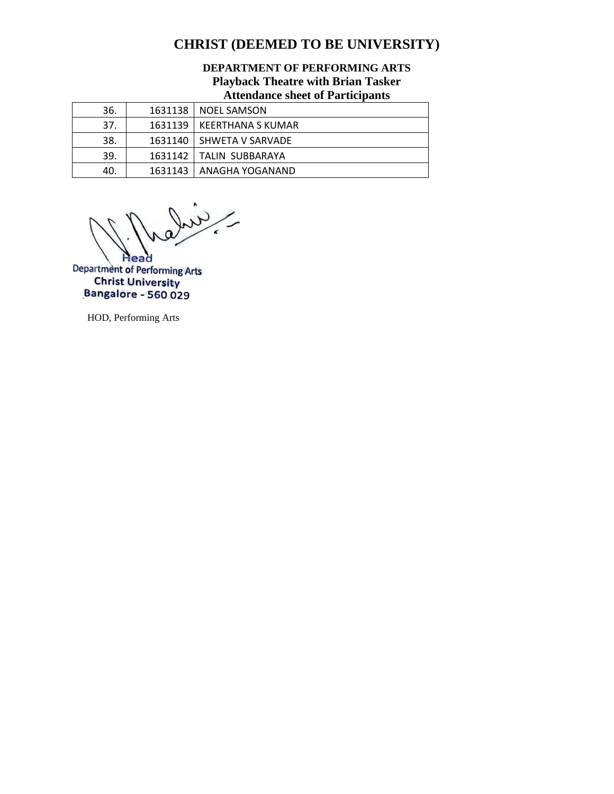# **CHRIST (DEEMED TO BE UNIVERSITY)**

### **DEPARTMENT OF PERFORMING ARTS Playback Theatre with Brian Tasker Attendance sheet of Participants**

|     | TTACAMATALADA DITAGA DI TATA MADA MATAMB |
|-----|------------------------------------------|
| 36. | 1631138   NOEL SAMSON                    |
| 37. | 1631139 LKEERTHANA S KUMAR               |
| 38. | 1631140 SHWETA V SARVADE                 |
| 39. | 1631142   TALIN SUBBARAYA                |
| 40. | 1631143   ANAGHA YOGANAND                |

- and **Head** 

Department of Performing Arts **Christ University** Bangalore - 560 029

HOD, Performing Arts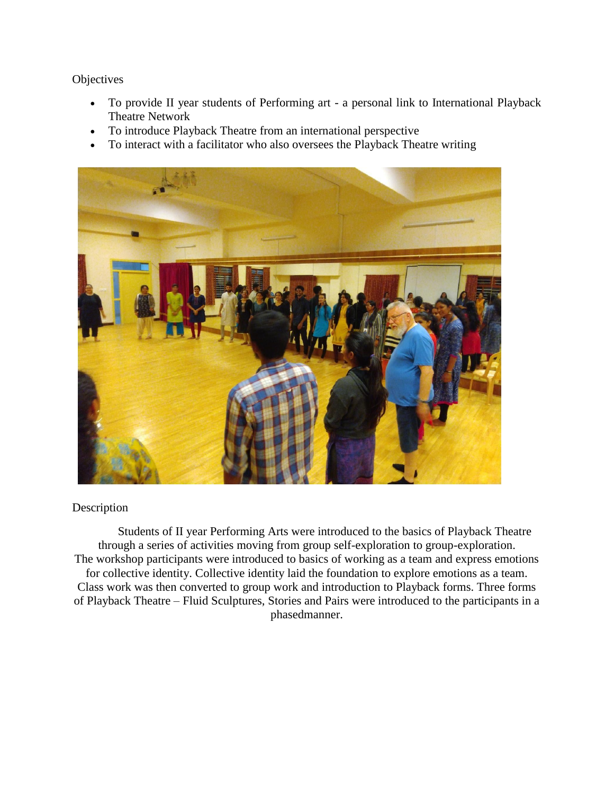### **Objectives**

- To provide II year students of Performing art a personal link to International Playback Theatre Network
- To introduce Playback Theatre from an international perspective
- To interact with a facilitator who also oversees the Playback Theatre writing



### Description

Students of II year Performing Arts were introduced to the basics of Playback Theatre through a series of activities moving from group self-exploration to group-exploration. The workshop participants were introduced to basics of working as a team and express emotions for collective identity. Collective identity laid the foundation to explore emotions as a team. Class work was then converted to group work and introduction to Playback forms. Three forms of Playback Theatre – Fluid Sculptures, Stories and Pairs were introduced to the participants in a phasedmanner.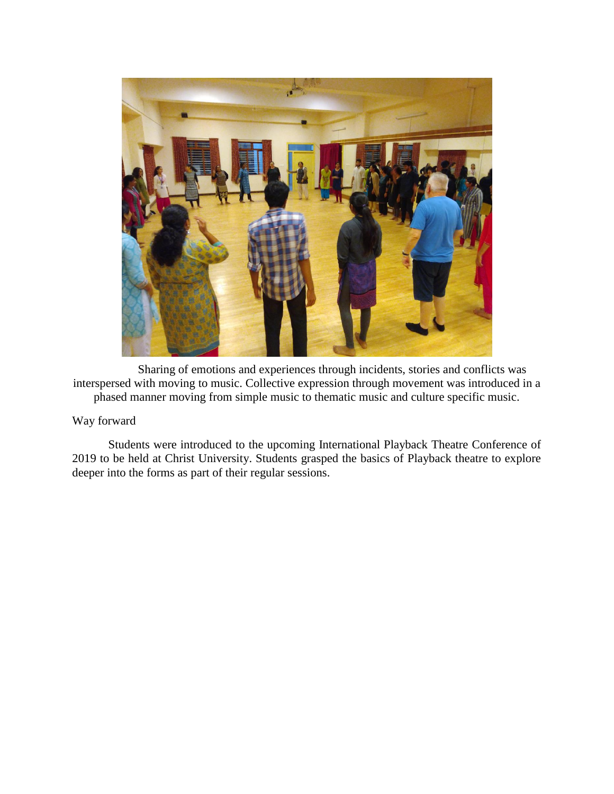

Sharing of emotions and experiences through incidents, stories and conflicts was interspersed with moving to music. Collective expression through movement was introduced in a phased manner moving from simple music to thematic music and culture specific music.

## Way forward

Students were introduced to the upcoming International Playback Theatre Conference of 2019 to be held at Christ University. Students grasped the basics of Playback theatre to explore deeper into the forms as part of their regular sessions.